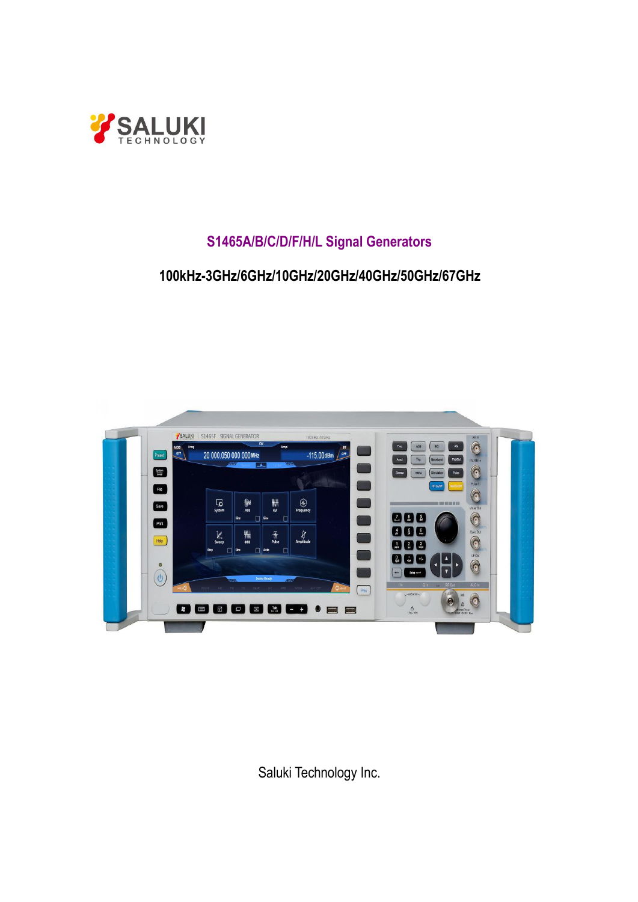

# **S1465A/B/C/D/F/H/L Signal Generators**

## **100kHz-3GHz/6GHz/10GHz/20GHz/40GHz/50GHz/67GHz**



Saluki Technology Inc.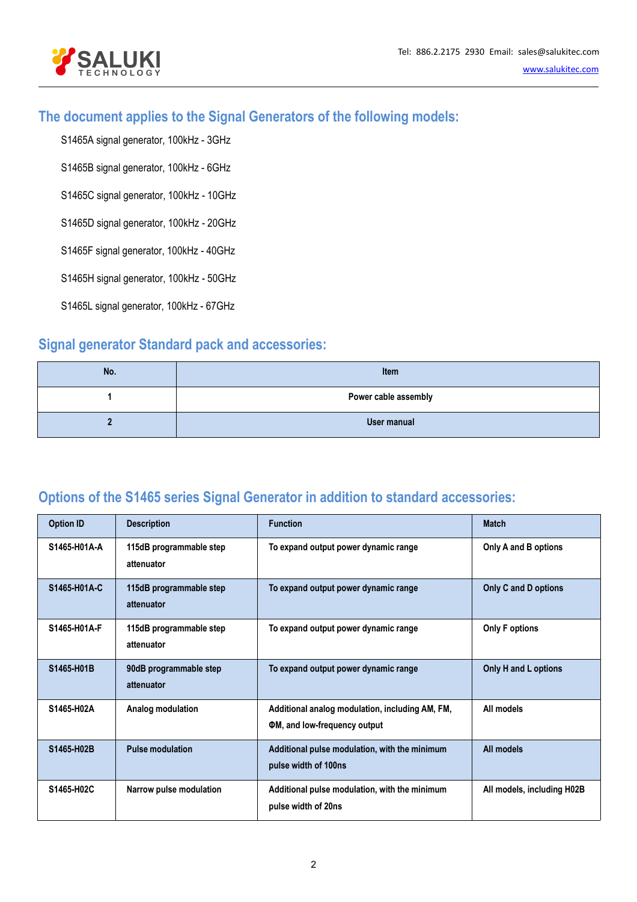

### **The document applies to the Signal Generators of the following models:**

S1465A signal generator, 100kHz - 3GHz

S1465B signal generator, 100kHz - 6GHz

S1465C signal generator, 100kHz - 10GHz

S1465D signal generator, 100kHz - 20GHz

S1465F signal generator, 100kHz - 40GHz

S1465H signal generator, 100kHz - 50GHz

S1465L signal generator, 100kHz - 67GHz

### **Signal generator Standard pack and accessories:**

| No. | Item                 |
|-----|----------------------|
|     | Power cable assembly |
|     | User manual          |

### **Options of the S1465 series Signal Generator in addition to standard accessories:**

| <b>Option ID</b> | <b>Description</b>                    | <b>Function</b>                                                                        | <b>Match</b>               |
|------------------|---------------------------------------|----------------------------------------------------------------------------------------|----------------------------|
| S1465-H01A-A     | 115dB programmable step<br>attenuator | To expand output power dynamic range                                                   | Only A and B options       |
| S1465-H01A-C     | 115dB programmable step<br>attenuator | To expand output power dynamic range                                                   | Only C and D options       |
| S1465-H01A-F     | 115dB programmable step<br>attenuator | To expand output power dynamic range                                                   | <b>Only F options</b>      |
| S1465-H01B       | 90dB programmable step<br>attenuator  | To expand output power dynamic range                                                   | Only H and L options       |
| S1465-H02A       | Analog modulation                     | Additional analog modulation, including AM, FM,<br><b>OM, and low-frequency output</b> | All models                 |
| S1465-H02B       | <b>Pulse modulation</b>               | Additional pulse modulation, with the minimum<br>pulse width of 100ns                  | All models                 |
| S1465-H02C       | Narrow pulse modulation               | Additional pulse modulation, with the minimum<br>pulse width of 20ns                   | All models, including H02B |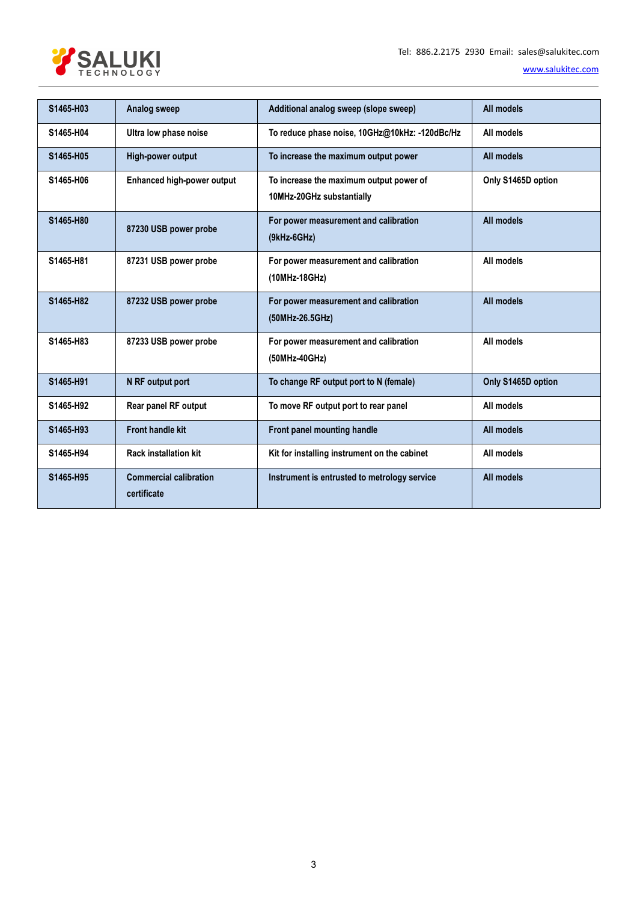

| S1465-H03 | <b>Analog sweep</b>                          | Additional analog sweep (slope sweep)                                | All models         |
|-----------|----------------------------------------------|----------------------------------------------------------------------|--------------------|
| S1465-H04 | Ultra low phase noise                        | To reduce phase noise, 10GHz@10kHz: -120dBc/Hz                       | All models         |
| S1465-H05 | High-power output                            | To increase the maximum output power                                 | All models         |
| S1465-H06 | <b>Enhanced high-power output</b>            | To increase the maximum output power of<br>10MHz-20GHz substantially | Only S1465D option |
| S1465-H80 | 87230 USB power probe                        | For power measurement and calibration<br>$(9kHz-6GHz)$               | All models         |
| S1465-H81 | 87231 USB power probe                        | For power measurement and calibration<br>(10MHz-18GHz)               | All models         |
| S1465-H82 | 87232 USB power probe                        | For power measurement and calibration<br>(50MHz-26.5GHz)             | All models         |
| S1465-H83 | 87233 USB power probe                        | For power measurement and calibration<br>(50MHz-40GHz)               | All models         |
| S1465-H91 | N RF output port                             | To change RF output port to N (female)                               | Only S1465D option |
| S1465-H92 | Rear panel RF output                         | To move RF output port to rear panel                                 | All models         |
| S1465-H93 | <b>Front handle kit</b>                      | Front panel mounting handle                                          | All models         |
| S1465-H94 | <b>Rack installation kit</b>                 | Kit for installing instrument on the cabinet                         | All models         |
| S1465-H95 | <b>Commercial calibration</b><br>certificate | Instrument is entrusted to metrology service                         | All models         |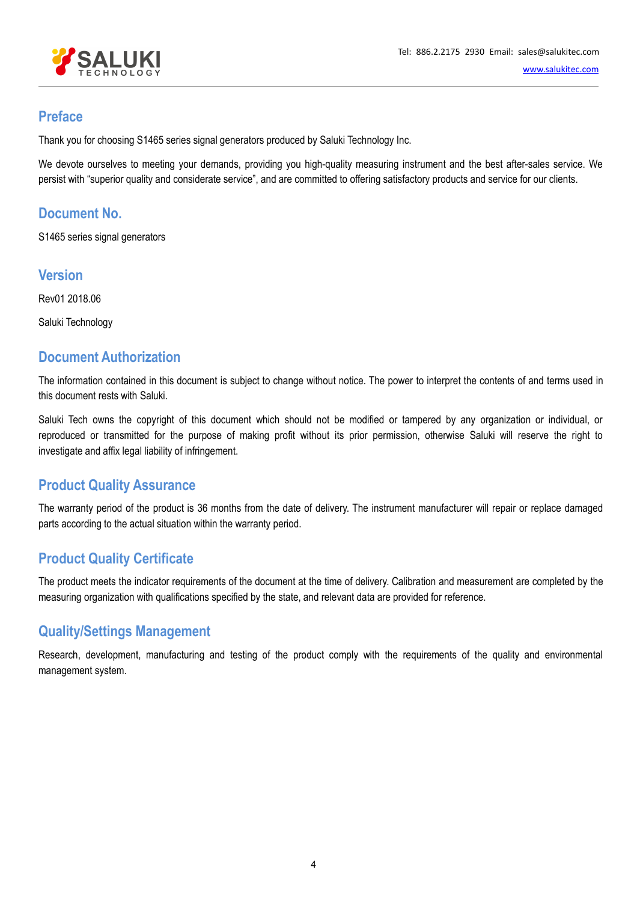

### **Preface**

Thank you for choosing S1465 series signal generators produced by Saluki Technology Inc.

We devote ourselves to meeting your demands, providing you high-quality measuring instrument and the best after-sales service. We persist with "superior quality and considerate service", and are committed to offering satisfactory products and service for our clients.

### **Document No.**

S1465 series signal generators

### **Version**

Rev01 2018.06

Saluki Technology

### **Document Authorization**

The information contained in this document is subject to change without notice. The power to interpret the contents of and terms used in this document rests with Saluki.

Saluki Tech owns the copyright of this document which should not be modified or tampered by any organization or individual, or reproduced or transmitted for the purpose of making profit without its prior permission, otherwise Saluki will reserve the right to investigate and affix legal liability of infringement.

### **Product Quality Assurance**

The warranty period of the product is 36 months from the date of delivery. The instrument manufacturer will repair or replace damaged parts according to the actual situation within the warranty period.

### **Product Quality Certificate**

The product meets the indicator requirements of the document at the time of delivery. Calibration and measurement are completed by the measuring organization with qualifications specified by the state, and relevant data are provided for reference.

### **Quality/Settings Management**

Research, development, manufacturing and testing of the product comply with the requirements of the quality and environmental management system.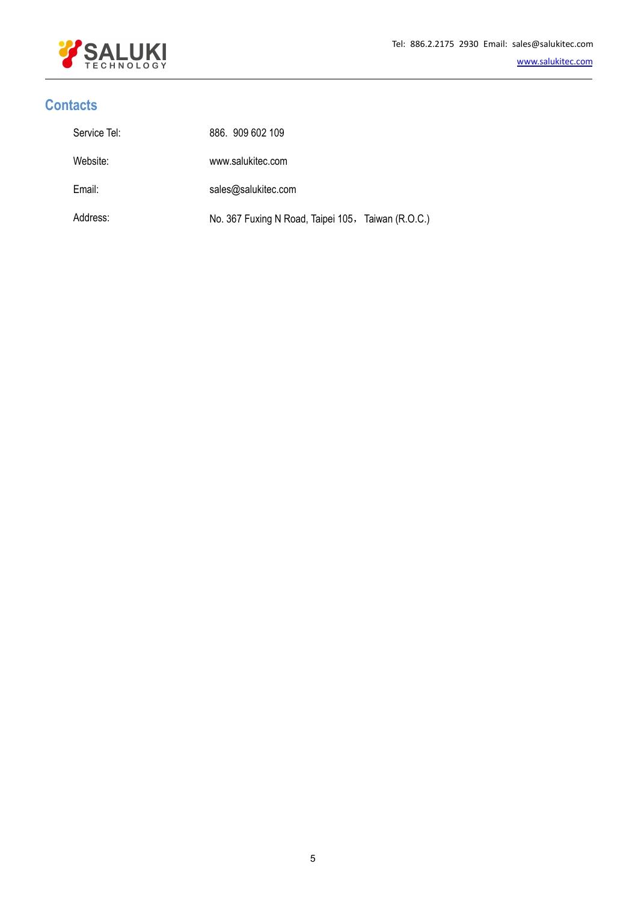

# **Contacts**

| Service Tel: | 886. 909 602 109                                   |
|--------------|----------------------------------------------------|
| Website:     | www.salukitec.com                                  |
| Email:       | sales@salukitec.com                                |
| Address:     | No. 367 Fuxing N Road, Taipei 105, Taiwan (R.O.C.) |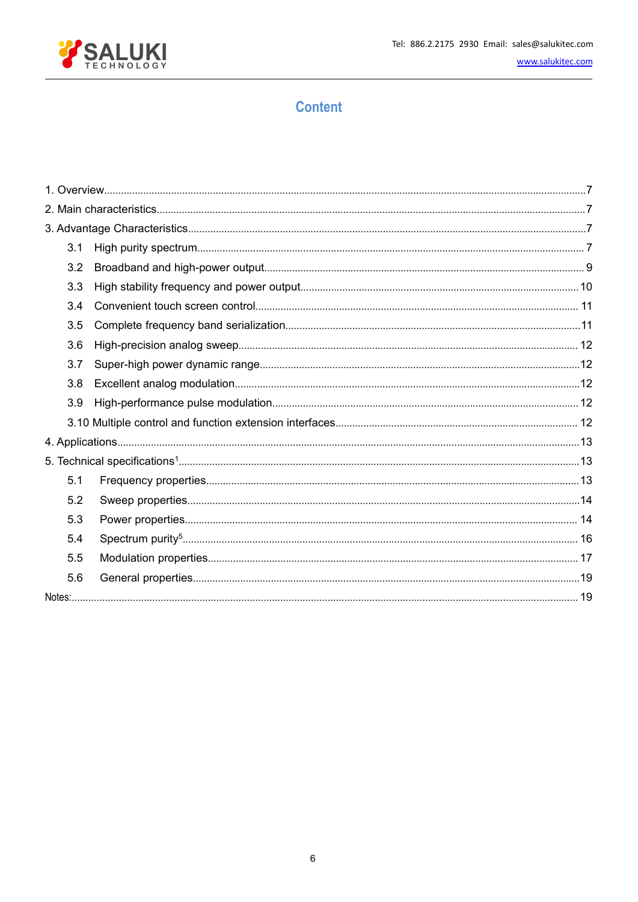

# **Content**

| 3.1 |  |
|-----|--|
| 3.2 |  |
| 3.3 |  |
| 3.4 |  |
| 3.5 |  |
| 3.6 |  |
| 3.7 |  |
| 3.8 |  |
| 3.9 |  |
|     |  |
|     |  |
|     |  |
| 5.1 |  |
| 5.2 |  |
| 5.3 |  |
| 5.4 |  |
| 5.5 |  |
| 5.6 |  |
|     |  |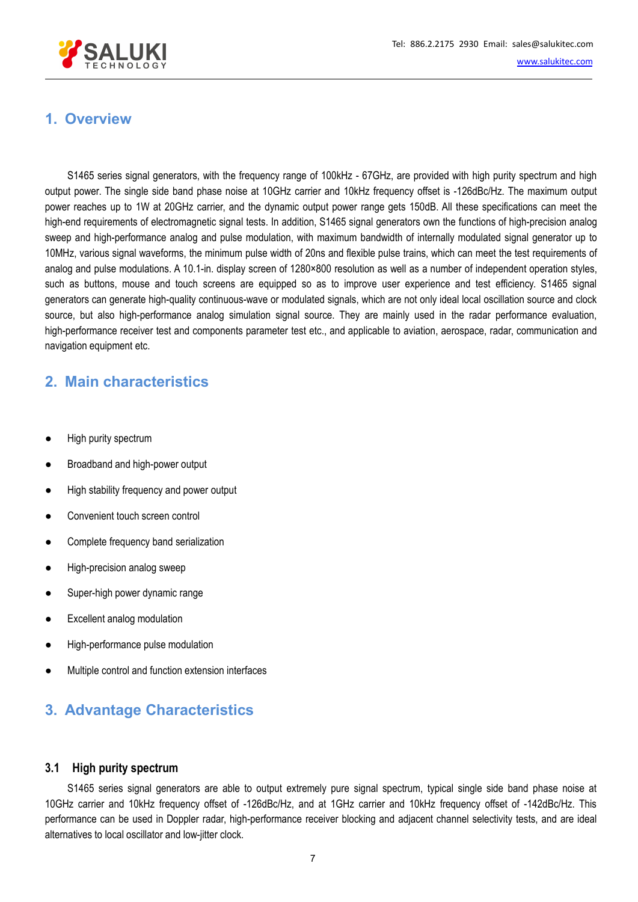

# <span id="page-6-0"></span>**1. Overview**

S1465 series signal generators, with the frequency range of 100kHz - 67GHz, are provided with high purity spectrum and high output power. The single side band phase noise at 10GHz carrier and 10kHz frequency offset is -126dBc/Hz. The maximum output power reaches up to 1W at 20GHz carrier, and the dynamic output power range gets 150dB. All these specifications can meet the high-end requirements of electromagnetic signal tests. In addition, S1465 signal generators own the functions of high-precision analog sweep and high-performance analog and pulse modulation, with maximum bandwidth of internally modulated signal generator up to 10MHz, various signal waveforms, the minimum pulse width of 20ns and flexible pulse trains, which can meet the test requirements of analog and pulse modulations. A 10.1-in. display screen of 1280×800 resolution as well as a number of independent operation styles, such as buttons, mouse and touch screens are equipped so as to improve user experience and test efficiency. S1465 signal generators can generate high-quality continuous-wave or modulated signals, which are not only ideal local oscillation source and clock source, but also high-performance analog simulation signal source. They are mainly used in the radar performance evaluation, high-performance receiver test and components parameter test etc., and applicable to aviation, aerospace, radar, communication and navigation equipment etc.

### <span id="page-6-1"></span>**2. Main characteristics**

- High purity spectrum
- Broadband and high-power output
- High stability frequency and power output
- Convenient touch screen control
- Complete frequency band serialization
- High-precision analog sweep
- Super-high power dynamic range
- Excellent analog modulation
- High-performance pulse modulation
- Multiple control and function extension interfaces

# <span id="page-6-2"></span>**3. Advantage Characteristics**

#### <span id="page-6-3"></span>**3.1 High purity spectrum**

S1465 series signal generators are able to output extremely pure signal spectrum, typical single side band phase noise at 10GHz carrier and 10kHz frequency offset of-126dBc/Hz, and at 1GHz carrier and 10kHz frequency offset of -142dBc/Hz. This performance can be used in Doppler radar, high-performance receiver blocking and adjacent channel selectivity tests, and are ideal alternatives to local oscillator and low-jitter clock.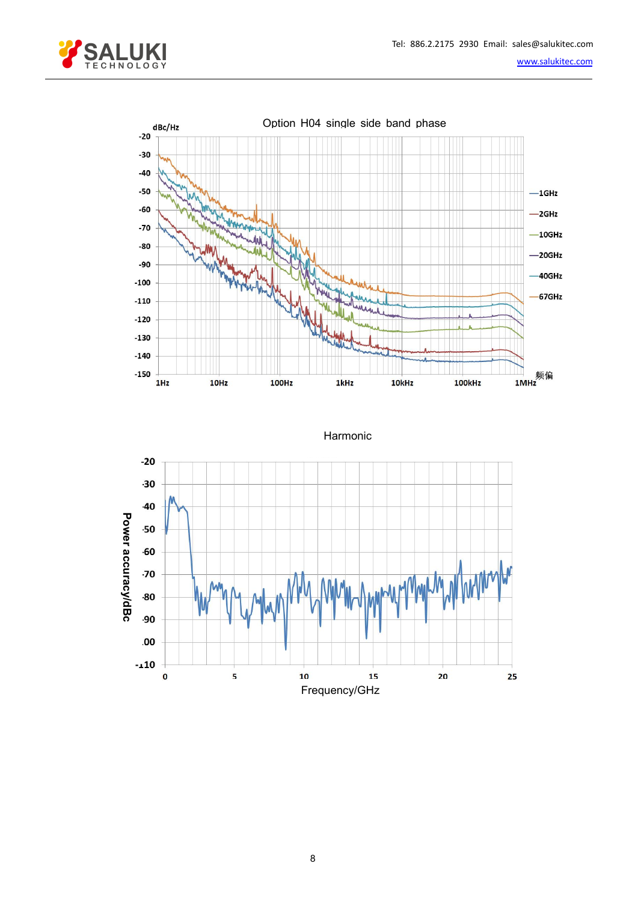



Harmonic

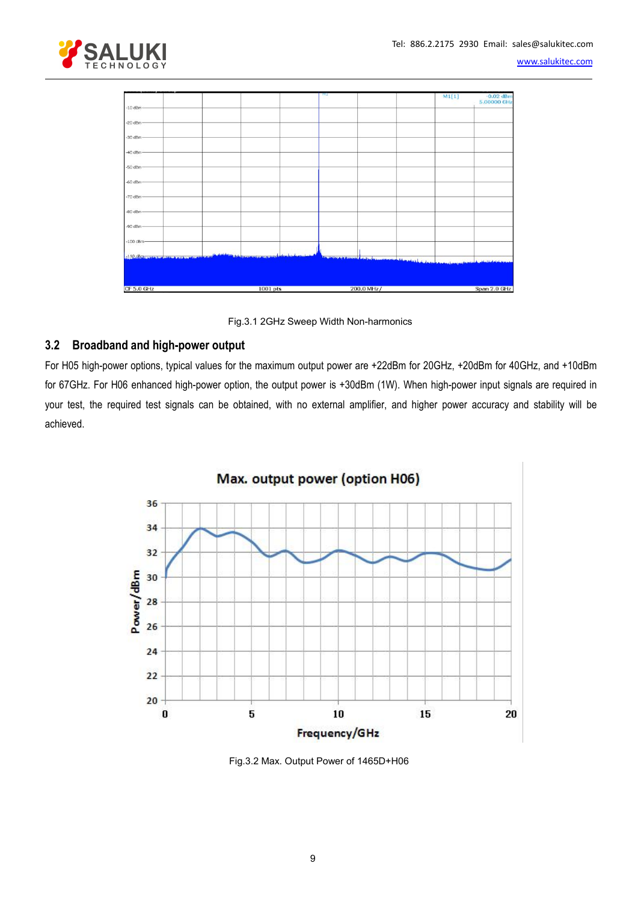



Fig.3.1 2GHz Sweep Width Non-harmonics

### <span id="page-8-0"></span>**3.2 Broadband and high-power output**

For H05 high-power options, typical values for the maximum output power are +22dBm for 20GHz, +20dBm for 40GHz, and +10dBm for 67GHz. For H06 enhanced high-power option, the output power is +30dBm (1W). When high-power input signals are required in your test, the required test signals can be obtained, with no external amplifier, and higher power accuracy and stability will be achieved.



Fig.3.2 Max. Output Power of 1465D+H06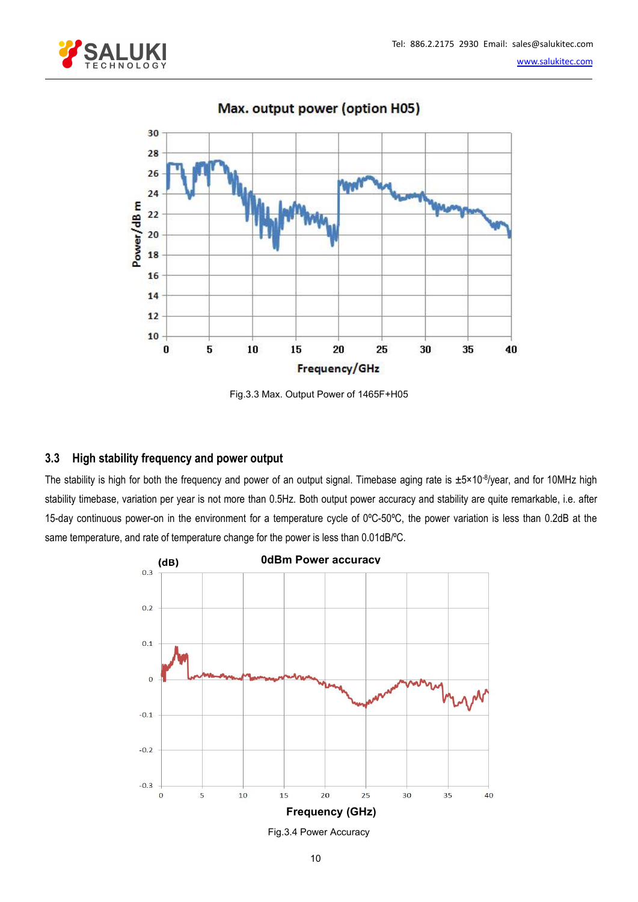



Max. output power (option H05)

Fig.3.3 Max. Output Power of 1465F+H05

### <span id="page-9-0"></span>**3.3 High stability frequency and power output**

The stability is high for both the frequency and power of an output signal. Timebase aging rate is ±5×10<sup>-8</sup>/year, and for 10MHz high stability timebase, variation per year is not more than 0.5Hz. Both output power accuracy and stability are quite remarkable, i.e. after 15-day continuous power-on in the environment for a temperature cycle of 0ºC-50ºC, the power variation isless than 0.2dB at the same temperature, and rate of temperature change for the power is less than 0.01dB/°C.



Fig.3.4 Power Accuracy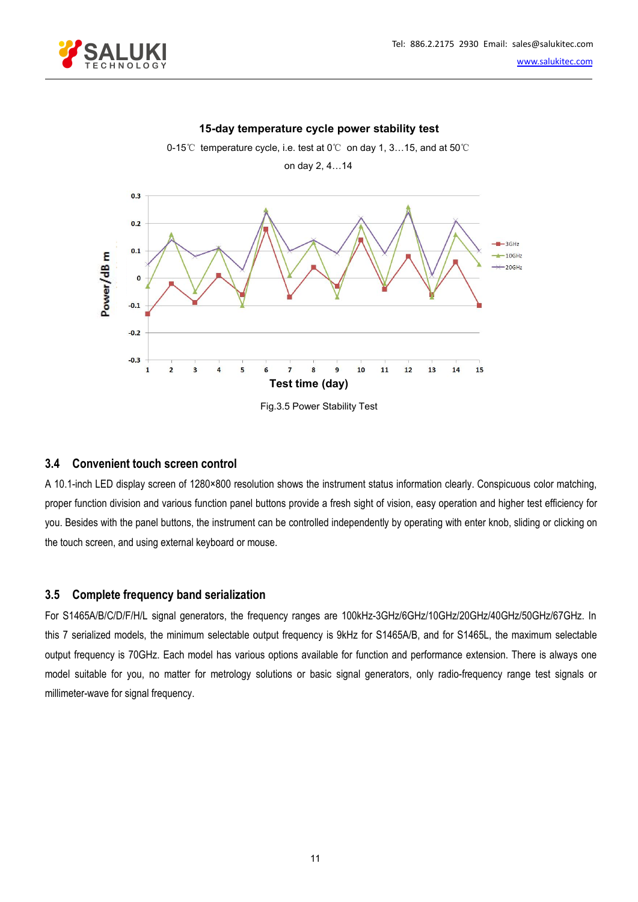



#### **15-day temperature cycle power stability test**

#### <span id="page-10-0"></span>**3.4 Convenient touch screen control**

A 10.1-inch LED display screen of 1280×800 resolution shows the instrument status information clearly. Conspicuous color matching, proper function division and various function panel buttons provide a fresh sight of vision, easy operation and higher test efficiency for you. Besides with the panel buttons, the instrument can be controlled independently by operating with enter knob, sliding or clicking on the touch screen, and using external keyboard or mouse.

#### <span id="page-10-1"></span>**3.5 Complete frequency band serialization**

For S1465A/B/C/D/F/H/L signal generators, the frequency ranges are 100kHz-3GHz/6GHz/10GHz/20GHz/40GHz/50GHz/67GHz. In this 7 serialized models, the minimum selectable output frequency is 9kHz for S1465A/B, and for S1465L, the maximum selectable output frequency is 70GHz. Each model has various options available for function and performance extension. There is always one model suitable for you, no matter for metrology solutions or basic signal generators, only radio-frequency range test signals or millimeter-wave for signal frequency.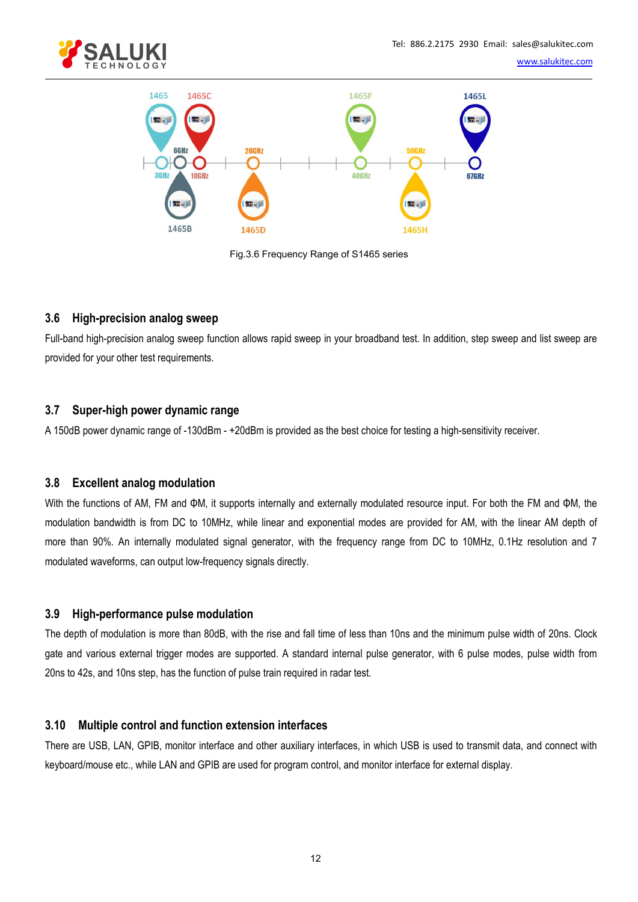



Fig.3.6 Frequency Range of S1465 series

#### <span id="page-11-0"></span>**3.6 High-precision analog sweep**

Full-band high-precision analog sweep function allows rapid sweep in your broadband test. In addition, step sweep and list sweep are provided for your other test requirements.

#### <span id="page-11-1"></span>**3.7 Super-high power dynamic range**

A 150dB power dynamic range of -130dBm - +20dBm is provided as the best choice for testing a high-sensitivity receiver.

#### <span id="page-11-2"></span>**3.8 Excellent analog modulation**

With the functions of AM, FM and ΦM, it supports internally and externally modulated resource input. For both the FM and ΦM, the modulation bandwidth is from DC to 10MHz, while linear and exponential modes are provided for AM, with the linear AM depth of more than 90%. An internally modulated signal generator, with the frequency range from DC to 10MHz, 0.1Hz resolution and 7 modulated waveforms, can output low-frequency signals directly.

#### <span id="page-11-3"></span>**3.9 High-performance pulse modulation**

The depth of modulation is more than 80dB, with the rise and fall time of less than 10ns and the minimum pulse width of 20ns. Clock gate and various external trigger modes are supported. A standard internal pulse generator, with 6 pulse modes, pulse width from 20ns to 42s, and 10ns step, has the function of pulse train required in radar test.

#### <span id="page-11-4"></span>**3.10 Multiple control and function extension interfaces**

There are USB, LAN,GPIB, monitor interface and other auxiliary interfaces, in which USB is used to transmit data, and connect with keyboard/mouse etc., while LAN and GPIB are used for program control, and monitor interface for external display.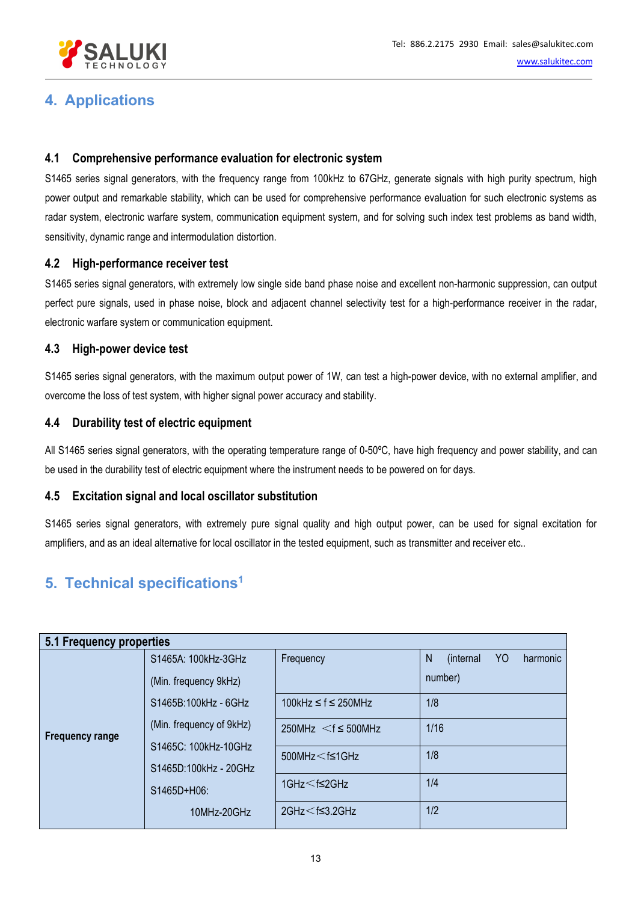

# <span id="page-12-0"></span>**4. Applications**

### **4.1 Comprehensive performance evaluation for electronic system**

S1465 series signal generators, with the frequency range from 100kHz to 67GHz, generate signals with high purity spectrum, high power output and remarkable stability, which can be used for comprehensive performance evaluation for such electronic systems as radar system, electronic warfare system, communication equipment system, and for solving such index test problems as band width, sensitivity, dynamic range and intermodulation distortion.

### **4.2 High-performance receiver test**

S1465 series signal generators, with extremely low single side band phase noise and excellent non-harmonic suppression, can output perfect pure signals, used in phase noise, block and adjacent channel selectivity test for a high-performance receiver in the radar, electronic warfare system or communication equipment.

### **4.3 High-power device test**

S1465 series signal generators, with the maximum output power of 1W, can test a high-power device, with no external amplifier, and overcome the loss of test system, with higher signal power accuracy and stability.

### **4.4 Durability test of electric equipment**

All S1465 series signal generators, with the operating temperature range of 0-50ºC, have high frequency and power stability, and can be used in the durability test of electric equipment where the instrument needs to be powered on for days.

### **4.5 Excitation signal and local oscillator substitution**

S1465 series signal generators, with extremely pure signal quality and high output power, can be used for signal excitation for amplifiers, and as an ideal alternative for local oscillator in the tested equipment, such as transmitter and receiver etc..

#### <span id="page-12-1"></span>**5. Technical specifications 1**

<span id="page-12-2"></span>

| 5.1 Frequency properties |                          |                                |                                              |  |  |  |  |  |  |
|--------------------------|--------------------------|--------------------------------|----------------------------------------------|--|--|--|--|--|--|
|                          | S1465A: 100kHz-3GHz      | Frequency                      | Y <sub>O</sub><br>N<br>(internal<br>harmonic |  |  |  |  |  |  |
|                          | (Min. frequency 9kHz)    |                                | number)                                      |  |  |  |  |  |  |
| <b>Frequency range</b>   | S1465B:100kHz - 6GHz     | 100kHz $\leq$ f $\leq$ 250MHz  | 1/8                                          |  |  |  |  |  |  |
|                          | (Min. frequency of 9kHz) | $250MHz < f \leq 500MHz$       | 1/16                                         |  |  |  |  |  |  |
|                          | S1465C: 100kHz-10GHz     | $500$ MHz $\leq$ f $\leq$ 1GHz | 1/8                                          |  |  |  |  |  |  |
|                          | S1465D:100kHz - 20GHz    |                                |                                              |  |  |  |  |  |  |
|                          | S1465D+H06:              | 1GHz $<$ f $\leq$ 2GHz         | 1/4                                          |  |  |  |  |  |  |
|                          | 10MHz-20GHz              | $2$ GHz $<$ f $\leq$ 3.2GHz    | 1/2                                          |  |  |  |  |  |  |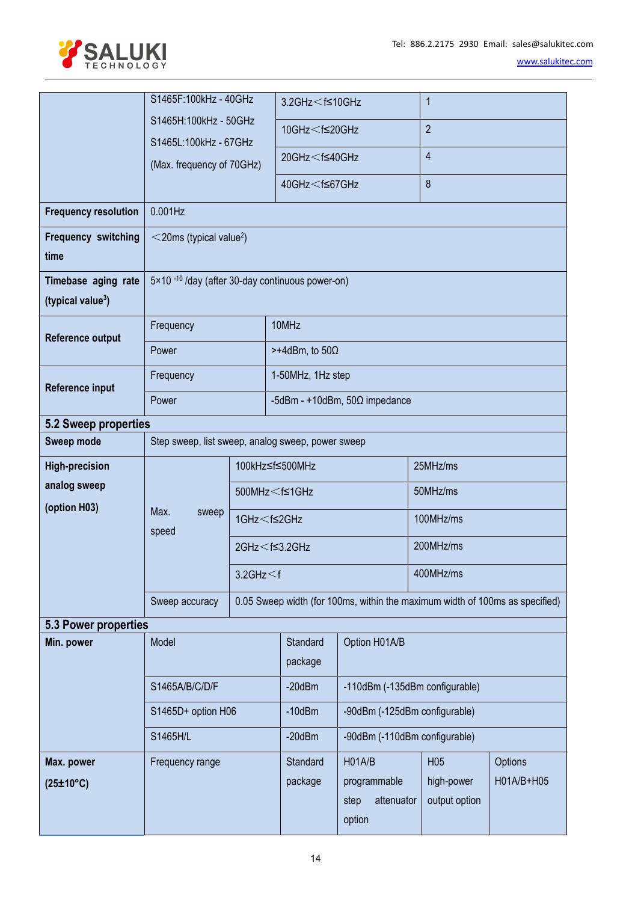

<span id="page-13-1"></span><span id="page-13-0"></span>

|                               | S1465F:100kHz - 40GHz                                       |                            | $3.2$ GHz $<$ f $\leq$ 10GHz                                                          |                                                                              | $\mathbf 1$      |            |  |  |  |
|-------------------------------|-------------------------------------------------------------|----------------------------|---------------------------------------------------------------------------------------|------------------------------------------------------------------------------|------------------|------------|--|--|--|
|                               | S1465H:100kHz - 50GHz                                       |                            | 10GHz <f≤20ghz< th=""><th></th><th><math>\overline{2}</math></th><th></th></f≤20ghz<> |                                                                              | $\overline{2}$   |            |  |  |  |
|                               | S1465L:100kHz - 67GHz                                       |                            |                                                                                       |                                                                              |                  |            |  |  |  |
|                               | (Max. frequency of 70GHz)                                   |                            | 20GHz <f≤40ghz< th=""><th></th><th><math>\overline{4}</math></th><th></th></f≤40ghz<> |                                                                              | $\overline{4}$   |            |  |  |  |
|                               |                                                             |                            | 40GHz < f≤67GHz                                                                       |                                                                              | $\boldsymbol{8}$ |            |  |  |  |
| <b>Frequency resolution</b>   | 0.001Hz                                                     |                            |                                                                                       |                                                                              |                  |            |  |  |  |
| <b>Frequency switching</b>    | $<$ 20ms (typical value <sup>2</sup> )                      |                            |                                                                                       |                                                                              |                  |            |  |  |  |
| time                          |                                                             |                            |                                                                                       |                                                                              |                  |            |  |  |  |
| Timebase aging rate           | 5×10 <sup>-10</sup> /day (after 30-day continuous power-on) |                            |                                                                                       |                                                                              |                  |            |  |  |  |
| (typical value <sup>3</sup> ) |                                                             |                            |                                                                                       |                                                                              |                  |            |  |  |  |
| Reference output              | Frequency                                                   |                            | 10MHz                                                                                 |                                                                              |                  |            |  |  |  |
|                               | Power                                                       | $> +4$ dBm, to 50 $\Omega$ |                                                                                       |                                                                              |                  |            |  |  |  |
| Reference input               | Frequency                                                   |                            | 1-50MHz, 1Hz step                                                                     |                                                                              |                  |            |  |  |  |
|                               | Power                                                       |                            |                                                                                       | -5dBm - +10dBm, $50\Omega$ impedance                                         |                  |            |  |  |  |
| 5.2 Sweep properties          |                                                             |                            |                                                                                       |                                                                              |                  |            |  |  |  |
| Sweep mode                    | Step sweep, list sweep, analog sweep, power sweep           |                            |                                                                                       |                                                                              |                  |            |  |  |  |
| <b>High-precision</b>         |                                                             |                            | 100kHz≤f≤500MHz                                                                       | 25MHz/ms                                                                     |                  |            |  |  |  |
| analog sweep                  |                                                             |                            | 500MHz < f≤1GHz                                                                       |                                                                              | 50MHz/ms         |            |  |  |  |
| (option H03)                  | Max.<br>sweep                                               |                            | 1GHz <f≤2ghz< th=""><th></th><th colspan="3">100MHz/ms</th></f≤2ghz<>                 |                                                                              | 100MHz/ms        |            |  |  |  |
|                               | speed                                                       |                            | $2$ GHz $\leq$ f $\leq$ 3.2GHz                                                        |                                                                              | 200MHz/ms        |            |  |  |  |
|                               |                                                             | $3.2$ GHz $<$ f            |                                                                                       |                                                                              | 400MHz/ms        |            |  |  |  |
|                               | Sweep accuracy                                              |                            |                                                                                       | 0.05 Sweep width (for 100ms, within the maximum width of 100ms as specified) |                  |            |  |  |  |
| 5.3 Power properties          |                                                             |                            |                                                                                       |                                                                              |                  |            |  |  |  |
| Min. power                    | Model                                                       |                            | Standard                                                                              | Option H01A/B                                                                |                  |            |  |  |  |
|                               |                                                             |                            | package                                                                               |                                                                              |                  |            |  |  |  |
|                               | S1465A/B/C/D/F                                              |                            | $-20dBm$                                                                              | -110dBm (-135dBm configurable)                                               |                  |            |  |  |  |
|                               | S1465D+ option H06                                          |                            | $-10$ d $Bm$                                                                          | -90dBm (-125dBm configurable)                                                |                  |            |  |  |  |
|                               | S1465H/L                                                    |                            | $-20$ d $Bm$                                                                          | -90dBm (-110dBm configurable)                                                |                  |            |  |  |  |
| Max. power                    | Frequency range                                             |                            | Standard                                                                              | H01A/B                                                                       | H <sub>05</sub>  | Options    |  |  |  |
| (25±10°C)                     |                                                             |                            | package                                                                               | programmable                                                                 | high-power       | H01A/B+H05 |  |  |  |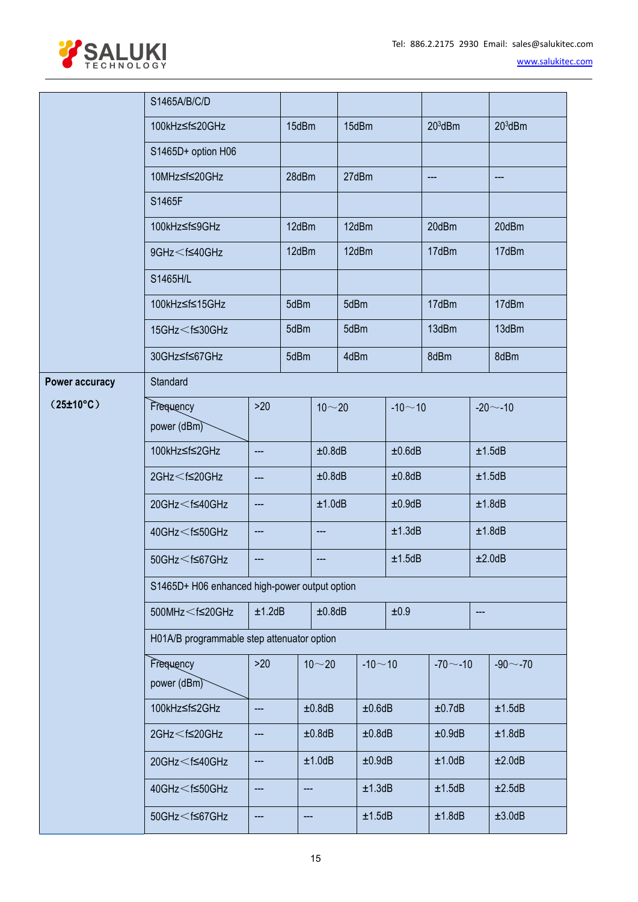

|                                | S1465A/B/C/D                                                                                                                                                                    |                            |                  |           |            |            |                            |  |                        |  |  |  |
|--------------------------------|---------------------------------------------------------------------------------------------------------------------------------------------------------------------------------|----------------------------|------------------|-----------|------------|------------|----------------------------|--|------------------------|--|--|--|
|                                | 100kHz≤f≤20GHz                                                                                                                                                                  |                            | 15dBm            |           | 15dBm      |            | $203$ dBm                  |  | $203$ dBm              |  |  |  |
|                                | S1465D+ option H06                                                                                                                                                              |                            |                  |           |            |            |                            |  |                        |  |  |  |
|                                | 10MHz≤f≤20GHz                                                                                                                                                                   |                            | 28dBm            |           | 27dBm      |            | $\qquad \qquad \text{---}$ |  | $\qquad \qquad \cdots$ |  |  |  |
|                                | S1465F                                                                                                                                                                          |                            |                  |           |            |            |                            |  |                        |  |  |  |
|                                | 100kHz≤f≤9GHz                                                                                                                                                                   |                            | 12dBm            |           | 12dBm      |            | 20dBm                      |  | 20dBm                  |  |  |  |
|                                | 9GHz < f≤40GHz                                                                                                                                                                  |                            | 12dBm            |           | 12dBm      |            | 17dBm                      |  | 17dBm                  |  |  |  |
|                                | S1465H/L                                                                                                                                                                        |                            |                  |           |            |            |                            |  |                        |  |  |  |
|                                | 100kHz≤f≤15GHz                                                                                                                                                                  |                            | 5dBm             |           | 5dBm       |            | 17dBm                      |  | 17dBm                  |  |  |  |
|                                | 15GHz <f≤30ghz< td=""><td></td><td colspan="2">5dBm</td><td colspan="2">5dBm</td><td>13dBm</td><td></td><td>13dBm</td></f≤30ghz<>                                               |                            | 5dBm             |           | 5dBm       |            | 13dBm                      |  | 13dBm                  |  |  |  |
|                                | 30GHz≤f≤67GHz                                                                                                                                                                   |                            | 5dBm             |           | 4dBm       |            | 8dBm                       |  | 8dBm                   |  |  |  |
| <b>Power accuracy</b>          | Standard                                                                                                                                                                        |                            |                  |           |            |            |                            |  |                        |  |  |  |
| $(25 \pm 10^{\circ} \text{C})$ | $>20$<br>Frequency                                                                                                                                                              |                            |                  | $10 - 20$ |            | $-10 - 10$ |                            |  | $-20 - -10$            |  |  |  |
|                                | power (dBm)                                                                                                                                                                     |                            |                  |           |            |            |                            |  |                        |  |  |  |
|                                | 100kHz≤f≤2GHz                                                                                                                                                                   | $\qquad \qquad \cdots$     |                  | ±0.8dB    |            | ±0.6dB     |                            |  | ±1.5dB                 |  |  |  |
|                                | $2$ GHz $<$ f $\leq$ 20GHz                                                                                                                                                      | $\qquad \qquad \text{---}$ |                  | ±0.8dB    |            |            | ±0.8dB                     |  | ±1.5dB                 |  |  |  |
|                                | 20GHz <f≤40ghz< td=""><td><math display="block">\qquad \qquad \cdots</math></td><td></td><td colspan="2">±1.0dB</td><td>±0.9dB</td><td></td><td></td><td>±1.8dB</td></f≤40ghz<> | $\qquad \qquad \cdots$     |                  | ±1.0dB    |            | ±0.9dB     |                            |  | ±1.8dB                 |  |  |  |
|                                | 40GHz < f≤50GHz                                                                                                                                                                 | $\hspace{0.05cm} \ldots$   |                  |           |            | ±1.3dB     |                            |  | ±1.8dB                 |  |  |  |
|                                | 50GHz < f≤67GHz                                                                                                                                                                 | ---                        |                  |           |            | ±1.5dB     |                            |  | ±2.0dB                 |  |  |  |
|                                | S1465D+ H06 enhanced high-power output option                                                                                                                                   |                            |                  |           |            |            |                            |  |                        |  |  |  |
|                                | 500MHz $<$ f≤20GHz                                                                                                                                                              |                            | ±1.2dB<br>±0.8dB |           | ±0.9       |            | $---$                      |  |                        |  |  |  |
|                                | H01A/B programmable step attenuator option                                                                                                                                      |                            |                  |           |            |            |                            |  |                        |  |  |  |
|                                | Frequency                                                                                                                                                                       | $>20$                      |                  | $10 - 20$ | $-10 - 10$ |            | $-70$ $-10$                |  | $-90$ $-70$            |  |  |  |
|                                | power (dBm)                                                                                                                                                                     |                            |                  |           |            |            |                            |  |                        |  |  |  |
|                                | 100kHz≤f≤2GHz                                                                                                                                                                   | ---                        |                  | ±0.8dB    | ±0.6dB     |            | ±0.7dB                     |  | ±1.5dB                 |  |  |  |
|                                | $2$ GHz $<$ f $\leq$ 20GHz                                                                                                                                                      | ---                        |                  | ±0.8dB    | ±0.8dB     |            | ±0.9dB                     |  | ±1.8dB                 |  |  |  |
|                                | 20GHz <f≤40ghz< td=""><td>---</td><td></td><td>±1.0dB</td><td>±0.9dB</td><td></td><td colspan="2">±1.0dB</td><td>±2.0dB</td></f≤40ghz<>                                         | ---                        |                  | ±1.0dB    | ±0.9dB     |            | ±1.0dB                     |  | ±2.0dB                 |  |  |  |
|                                | 40GHz <f≤50ghz< td=""><td>---</td><td>---</td><td></td><td>±1.3dB</td><td></td><td>±1.5dB</td><td></td><td>±2.5dB</td></f≤50ghz<>                                               | ---                        | ---              |           | ±1.3dB     |            | ±1.5dB                     |  | ±2.5dB                 |  |  |  |
|                                | $50$ GHz $<$ f≤67GHz                                                                                                                                                            | ---                        | ---              |           | ±1.5dB     |            | ±1.8dB                     |  | ±3.0dB                 |  |  |  |
|                                |                                                                                                                                                                                 |                            |                  |           |            |            |                            |  |                        |  |  |  |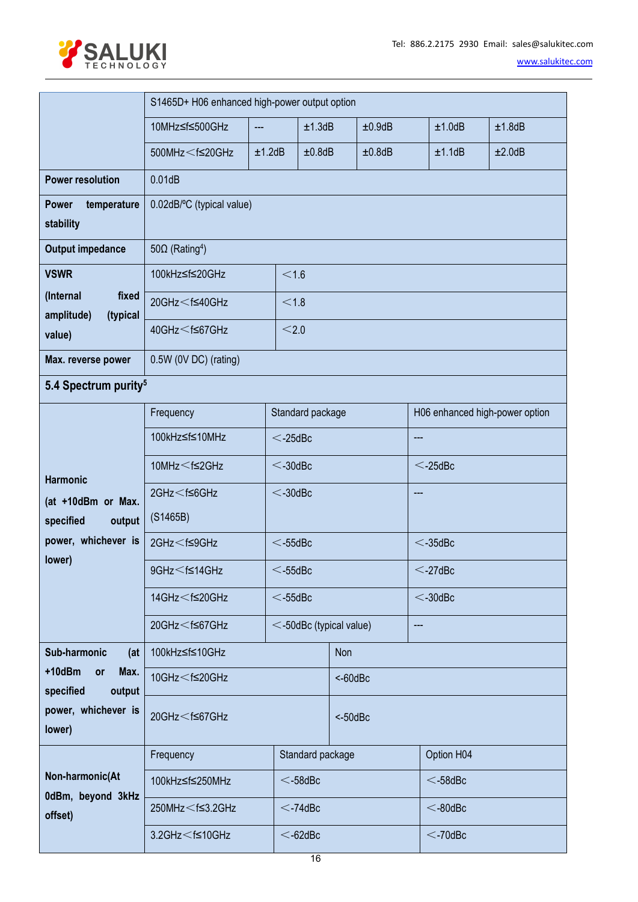



<span id="page-15-0"></span>

|                                              | S1465D+ H06 enhanced high-power output option                                                                                                 |                           |                              |             |        |                                |        |  |  |  |  |
|----------------------------------------------|-----------------------------------------------------------------------------------------------------------------------------------------------|---------------------------|------------------------------|-------------|--------|--------------------------------|--------|--|--|--|--|
|                                              | 10MHz≤f≤500GHz                                                                                                                                | ---                       | ±1.3dB                       |             | ±0.9dB | ±1.0dB                         | ±1.8dB |  |  |  |  |
|                                              | 500MHz <f≤20ghz< th=""><th>±1.2dB</th><th>±0.8dB</th><th></th><th>±0.8dB</th><th>±1.1dB</th><th>±2.0dB</th></f≤20ghz<>                        | ±1.2dB                    | ±0.8dB                       |             | ±0.8dB | ±1.1dB                         | ±2.0dB |  |  |  |  |
| <b>Power resolution</b>                      | 0.01dB                                                                                                                                        |                           |                              |             |        |                                |        |  |  |  |  |
| <b>Power</b><br>temperature                  |                                                                                                                                               | 0.02dB/°C (typical value) |                              |             |        |                                |        |  |  |  |  |
| stability                                    |                                                                                                                                               |                           |                              |             |        |                                |        |  |  |  |  |
| <b>Output impedance</b>                      | 50 $\Omega$ (Rating <sup>4</sup> )                                                                                                            |                           |                              |             |        |                                |        |  |  |  |  |
| <b>VSWR</b>                                  | 100kHz≤f≤20GHz                                                                                                                                |                           | < 1.6                        |             |        |                                |        |  |  |  |  |
| (Internal<br>fixed<br>amplitude)<br>(typical | 20GHz <f≤40ghz< th=""><th></th><th>&lt; 1.8</th><th></th><th></th><th></th><th></th></f≤40ghz<>                                               |                           | < 1.8                        |             |        |                                |        |  |  |  |  |
| value)                                       | 40GHz <f≤67ghz< td=""><td></td><td>&lt; 2.0</td><td></td><td></td><td></td><td></td></f≤67ghz<>                                               |                           | < 2.0                        |             |        |                                |        |  |  |  |  |
| Max. reverse power                           | 0.5W (0V DC) (rating)                                                                                                                         |                           |                              |             |        |                                |        |  |  |  |  |
| 5.4 Spectrum purity <sup>5</sup>             |                                                                                                                                               |                           |                              |             |        |                                |        |  |  |  |  |
|                                              | Frequency                                                                                                                                     |                           | Standard package             |             |        | H06 enhanced high-power option |        |  |  |  |  |
|                                              | 100kHz≤f≤10MHz                                                                                                                                |                           | $<$ -25dBc                   | ---         |        |                                |        |  |  |  |  |
|                                              | 10MHz <f≤2ghz< td=""><td></td><td><math>&lt;</math>-30dBc</td><td></td><td></td><td><math>&lt;</math>-25dBc</td><td></td></f≤2ghz<>           |                           | $<$ -30dBc                   |             |        | $<$ -25dBc                     |        |  |  |  |  |
| <b>Harmonic</b><br>(at +10dBm or Max.        | $2$ GHz $<$ f $\leq$ 6GHz                                                                                                                     |                           | $<$ -30dBc                   |             |        | $---$                          |        |  |  |  |  |
| specified<br>output                          | (S1465B)                                                                                                                                      |                           |                              |             |        |                                |        |  |  |  |  |
| power, whichever is                          | $2$ GHz $<$ f $\leq$ 9GHz                                                                                                                     |                           | $<$ -55dBc                   |             |        | $<$ -35dBc                     |        |  |  |  |  |
| lower)                                       | $9$ GHz $\leq$ f $\leq$ 14GHz                                                                                                                 | $<$ -55dBc                |                              | $<$ -27dBc  |        |                                |        |  |  |  |  |
|                                              | 14GHz < f≤20GHz                                                                                                                               |                           | $<$ -55dBc                   |             |        | $<$ -30dBc                     |        |  |  |  |  |
|                                              | 20GHz <f≤67ghz< td=""><td></td><td><math>\le</math>-50dBc (typical value)</td><td></td><td></td><td><math>---</math></td><td></td></f≤67ghz<> |                           | $\le$ -50dBc (typical value) |             |        | $---$                          |        |  |  |  |  |
| Sub-harmonic<br>(at                          | 100kHz≤f≤10GHz                                                                                                                                |                           |                              | Non         |        |                                |        |  |  |  |  |
| +10dBm<br>Max.<br>or<br>specified<br>output  | 10GHz <f≤20ghz< td=""><td></td><td colspan="5"><math>&lt;</math>-60dBc</td></f≤20ghz<>                                                        |                           | $<$ -60dBc                   |             |        |                                |        |  |  |  |  |
| power, whichever is<br>lower)                | 20GHz <f≤67ghz< td=""><td colspan="2"></td><td colspan="4"><math>&lt; -50</math>dBc</td></f≤67ghz<>                                           |                           |                              | $< -50$ dBc |        |                                |        |  |  |  |  |
|                                              | Frequency                                                                                                                                     |                           | Standard package             |             |        | Option H04                     |        |  |  |  |  |
| Non-harmonic(At                              | 100kHz≤f≤250MHz                                                                                                                               |                           | $<$ -58dBc                   |             |        | $<$ -58dBc                     |        |  |  |  |  |
| 0dBm, beyond 3kHz<br>offset)                 | 250MHz $<$ f $\leq$ 3.2GHz                                                                                                                    |                           | $<$ -74dBc                   |             |        | $<$ -80dBc                     |        |  |  |  |  |
|                                              | $3.2$ GHz $<$ f≤10GHz                                                                                                                         |                           | $<$ -62dBc                   |             |        | $<$ -70dBc                     |        |  |  |  |  |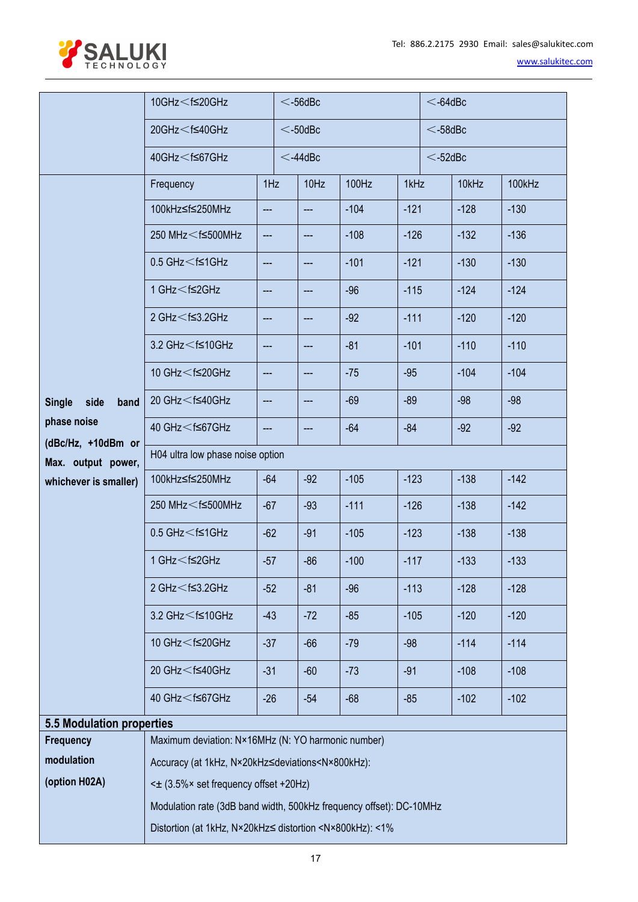

| www.salukitec.com |  |
|-------------------|--|
|-------------------|--|

<span id="page-16-0"></span>

|                                          | 10GHz $<$ f $\leq$ 20GHz                                                                                                                                                                                                                 | $<$ -56dBc               |                          |                            |        | $<$ -64dBc |            |        |        |
|------------------------------------------|------------------------------------------------------------------------------------------------------------------------------------------------------------------------------------------------------------------------------------------|--------------------------|--------------------------|----------------------------|--------|------------|------------|--------|--------|
|                                          | $20$ GHz $<$ f $\leq$ 40GHz                                                                                                                                                                                                              |                          | $<$ -50dBc<br>$<$ -58dBc |                            |        |            |            |        |        |
|                                          | 40GHz < f≤67GHz                                                                                                                                                                                                                          |                          |                          | $<$ -44dBc                 |        |            | $<$ -52dBc |        |        |
|                                          | Frequency                                                                                                                                                                                                                                | 1Hz                      |                          | 10Hz                       | 100Hz  | 1kHz       |            | 10kHz  | 100kHz |
|                                          | 100kHz≤f≤250MHz                                                                                                                                                                                                                          | ---                      |                          | $---$                      | $-104$ | $-121$     |            | $-128$ | $-130$ |
|                                          | 250 MHz <f≤500mhz< td=""><td><math display="inline">\hspace{0.05cm} \ldots</math></td><td></td><td>---</td><td><math>-108</math></td><td><math>-126</math></td><td></td><td><math>-132</math></td><td><math>-136</math></td></f≤500mhz<> | $\hspace{0.05cm} \ldots$ |                          | ---                        | $-108$ | $-126$     |            | $-132$ | $-136$ |
|                                          | $0.5$ GHz $<$ f $\leq$ 1GHz                                                                                                                                                                                                              | $\hspace{0.05cm} \ldots$ |                          | $\frac{1}{2}$              | $-101$ | $-121$     |            | $-130$ | $-130$ |
|                                          | 1 GHz < f≤2GHz                                                                                                                                                                                                                           | ---                      |                          | $\qquad \qquad \text{---}$ | $-96$  | $-115$     |            | $-124$ | $-124$ |
|                                          | $2$ GHz $<$ f $\leq$ 3.2GHz                                                                                                                                                                                                              | ---                      |                          | ---                        | $-92$  | $-111$     |            | $-120$ | $-120$ |
|                                          | 3.2 GHz < f≤10GHz                                                                                                                                                                                                                        | $\qquad \qquad -\qquad$  |                          | $---$                      | $-81$  | $-101$     |            | $-110$ | $-110$ |
|                                          | 10 GHz <f≤20ghz< td=""><td>---</td><td></td><td><math>---</math></td><td><math>-75</math></td><td><math>-95</math></td><td></td><td><math>-104</math></td><td><math>-104</math></td></f≤20ghz<>                                          | ---                      |                          | $---$                      | $-75$  | $-95$      |            | $-104$ | $-104$ |
| Single side<br>band                      | 20 GHz < f≤40GHz                                                                                                                                                                                                                         | $---$                    |                          | $---$                      | $-69$  | $-89$      |            | $-98$  | $-98$  |
| phase noise                              | 40 GHz < f≤67GHz                                                                                                                                                                                                                         | ---                      |                          | ---                        | $-64$  | $-84$      |            | $-92$  | $-92$  |
| (dBc/Hz, +10dBm or<br>Max. output power, | H04 ultra low phase noise option                                                                                                                                                                                                         |                          |                          |                            |        |            |            |        |        |
| whichever is smaller)                    | 100kHz≤f≤250MHz                                                                                                                                                                                                                          | $-64$                    |                          | $-92$                      | $-105$ | $-123$     |            | $-138$ | $-142$ |
|                                          | 250 MHz <f≤500mhz< td=""><td><math>-67</math></td><td></td><td><math>-93</math></td><td><math>-111</math></td><td><math>-126</math></td><td></td><td><math>-138</math></td><td><math>-142</math></td></f≤500mhz<>                        | $-67$                    |                          | $-93$                      | $-111$ | $-126$     |            | $-138$ | $-142$ |
|                                          | $0.5$ GHz $<$ f $\leq$ 1GHz                                                                                                                                                                                                              | $-62$                    |                          | $-91$                      | $-105$ | $-123$     |            | $-138$ | $-138$ |
|                                          | 1 GHz < f≤2GHz                                                                                                                                                                                                                           | $-57$                    |                          | $-86$                      | $-100$ | $-117$     |            | $-133$ | $-133$ |
|                                          | $2$ GHz $<$ f $\leq$ 3.2GHz                                                                                                                                                                                                              | $-52$                    |                          | $-81$                      | $-96$  | $-113$     |            | $-128$ | $-128$ |
|                                          | 3.2 GHz < f≤10GHz                                                                                                                                                                                                                        | $-43$                    |                          | $-72$                      | $-85$  | $-105$     |            | $-120$ | $-120$ |
|                                          | 10 GHz <f≤20ghz< td=""><td><math>-37</math></td><td></td><td><math>-66</math></td><td><math>-79</math></td><td><math>-98</math></td><td></td><td><math>-114</math></td><td><math>-114</math></td></f≤20ghz<>                             | $-37$                    |                          | $-66$                      | $-79$  | $-98$      |            | $-114$ | $-114$ |
|                                          | 20 GHz <f≤40ghz< td=""><td><math>-31</math></td><td></td><td><math>-60</math></td><td><math>-73</math></td><td><math>-91</math></td><td></td><td><math>-108</math></td><td><math>-108</math></td></f≤40ghz<>                             | $-31$                    |                          | $-60$                      | $-73$  | $-91$      |            | $-108$ | $-108$ |
|                                          | 40 GHz < f≤67GHz                                                                                                                                                                                                                         | $-26$                    |                          | $-54$                      | $-68$  | $-85$      |            | $-102$ | $-102$ |
| <b>5.5 Modulation properties</b>         |                                                                                                                                                                                                                                          |                          |                          |                            |        |            |            |        |        |
| <b>Frequency</b>                         | Maximum deviation: N×16MHz (N: YO harmonic number)                                                                                                                                                                                       |                          |                          |                            |        |            |            |        |        |
| modulation                               | Accuracy (at 1kHz, N×20kHz≤deviations <n×800khz):< td=""><td></td><td></td><td></td><td></td><td></td><td></td><td></td><td></td></n×800khz):<>                                                                                          |                          |                          |                            |        |            |            |        |        |
| (option H02A)                            | < $\pm$ (3.5% × set frequency offset +20Hz)                                                                                                                                                                                              |                          |                          |                            |        |            |            |        |        |
|                                          | Modulation rate (3dB band width, 500kHz frequency offset): DC-10MHz                                                                                                                                                                      |                          |                          |                            |        |            |            |        |        |
|                                          |                                                                                                                                                                                                                                          |                          |                          |                            |        |            |            |        |        |
|                                          | Distortion (at 1kHz, N×20kHz≤ distortion <n×800khz): <1%<="" td=""><td></td><td></td><td></td><td></td><td></td><td></td><td></td><td></td></n×800khz):>                                                                                 |                          |                          |                            |        |            |            |        |        |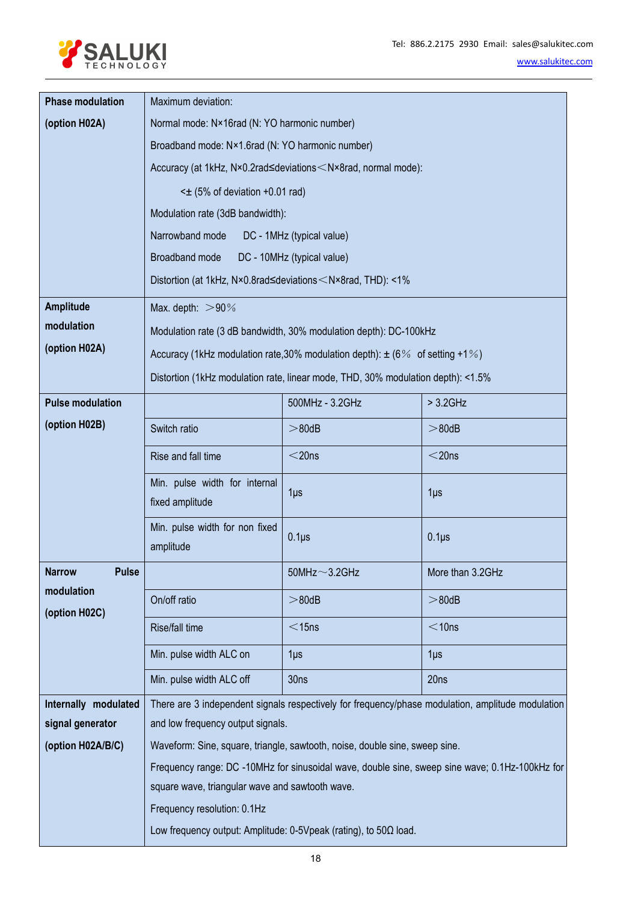

| <b>Phase modulation</b>       | Maximum deviation:                                                                                    |                                                                                  |                                                                                                   |  |  |  |  |  |  |
|-------------------------------|-------------------------------------------------------------------------------------------------------|----------------------------------------------------------------------------------|---------------------------------------------------------------------------------------------------|--|--|--|--|--|--|
| (option H02A)                 | Normal mode: N×16rad (N: YO harmonic number)                                                          |                                                                                  |                                                                                                   |  |  |  |  |  |  |
|                               | Broadband mode: N×1.6rad (N: YO harmonic number)                                                      |                                                                                  |                                                                                                   |  |  |  |  |  |  |
|                               |                                                                                                       | Accuracy (at 1kHz, N×0.2rad≤deviations < N×8rad, normal mode):                   |                                                                                                   |  |  |  |  |  |  |
|                               | $\leq$ (5% of deviation +0.01 rad)                                                                    |                                                                                  |                                                                                                   |  |  |  |  |  |  |
|                               | Modulation rate (3dB bandwidth):                                                                      |                                                                                  |                                                                                                   |  |  |  |  |  |  |
|                               | Narrowband mode                                                                                       | DC - 1MHz (typical value)                                                        |                                                                                                   |  |  |  |  |  |  |
|                               | Broadband mode                                                                                        | DC - 10MHz (typical value)                                                       |                                                                                                   |  |  |  |  |  |  |
|                               | Distortion (at 1kHz, N×0.8rad≤deviations <n×8rad, <1%<="" th="" thd):=""><th></th><th></th></n×8rad,> |                                                                                  |                                                                                                   |  |  |  |  |  |  |
| <b>Amplitude</b>              | Max. depth: $>90\%$                                                                                   |                                                                                  |                                                                                                   |  |  |  |  |  |  |
| modulation                    |                                                                                                       | Modulation rate (3 dB bandwidth, 30% modulation depth): DC-100kHz                |                                                                                                   |  |  |  |  |  |  |
| (option H02A)                 |                                                                                                       | Accuracy (1kHz modulation rate, 30% modulation depth): $\pm$ (6% of setting +1%) |                                                                                                   |  |  |  |  |  |  |
|                               | Distortion (1kHz modulation rate, linear mode, THD, 30% modulation depth): <1.5%                      |                                                                                  |                                                                                                   |  |  |  |  |  |  |
| <b>Pulse modulation</b>       |                                                                                                       | 500MHz - 3.2GHz                                                                  | $> 3.2$ GHz                                                                                       |  |  |  |  |  |  |
| (option H02B)                 | Switch ratio                                                                                          | $> 80$ dB                                                                        | $> 80$ dB                                                                                         |  |  |  |  |  |  |
|                               | Rise and fall time                                                                                    | $<$ 20ns                                                                         | $<$ 20ns                                                                                          |  |  |  |  |  |  |
|                               | Min. pulse width for internal<br>1 <sub>µ</sub><br>1 <sub>µ</sub><br>fixed amplitude                  |                                                                                  |                                                                                                   |  |  |  |  |  |  |
|                               | Min. pulse width for non fixed<br>amplitude                                                           | $0.1\mu$ s<br>$0.1\mu$ s                                                         |                                                                                                   |  |  |  |  |  |  |
| <b>Narrow</b><br><b>Pulse</b> |                                                                                                       | $50$ MHz $\sim$ 3.2GHz                                                           | More than 3.2GHz                                                                                  |  |  |  |  |  |  |
| modulation<br>(option H02C)   | On/off ratio                                                                                          | $> 80$ dB                                                                        | $> 80$ dB                                                                                         |  |  |  |  |  |  |
|                               | Rise/fall time                                                                                        | $<$ 15ns                                                                         | $<$ 10ns                                                                                          |  |  |  |  |  |  |
|                               | Min. pulse width ALC on                                                                               | $1\mu$ s                                                                         | 1 <sub>µ</sub>                                                                                    |  |  |  |  |  |  |
|                               | Min. pulse width ALC off                                                                              | 30ns                                                                             | 20ns                                                                                              |  |  |  |  |  |  |
| Internally modulated          |                                                                                                       |                                                                                  | There are 3 independent signals respectively for frequency/phase modulation, amplitude modulation |  |  |  |  |  |  |
| signal generator              | and low frequency output signals.                                                                     |                                                                                  |                                                                                                   |  |  |  |  |  |  |
| (option H02A/B/C)             |                                                                                                       | Waveform: Sine, square, triangle, sawtooth, noise, double sine, sweep sine.      |                                                                                                   |  |  |  |  |  |  |
|                               |                                                                                                       |                                                                                  | Frequency range: DC -10MHz for sinusoidal wave, double sine, sweep sine wave; 0.1Hz-100kHz for    |  |  |  |  |  |  |
|                               | square wave, triangular wave and sawtooth wave.                                                       |                                                                                  |                                                                                                   |  |  |  |  |  |  |
|                               | Frequency resolution: 0.1Hz                                                                           |                                                                                  |                                                                                                   |  |  |  |  |  |  |
|                               |                                                                                                       | Low frequency output: Amplitude: 0-5Vpeak (rating), to 50Ω load.                 |                                                                                                   |  |  |  |  |  |  |
|                               |                                                                                                       |                                                                                  |                                                                                                   |  |  |  |  |  |  |